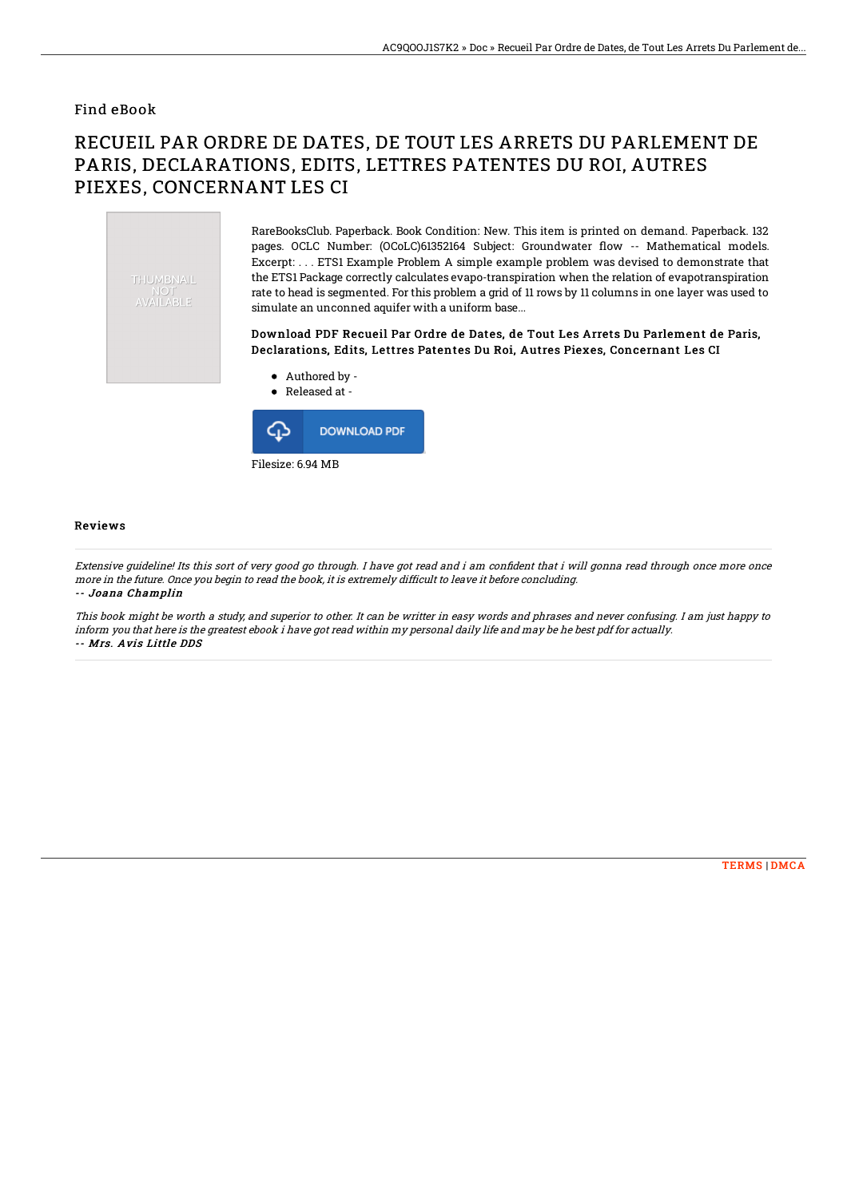### Find eBook

# RECUEIL PAR ORDRE DE DATES, DE TOUT LES ARRETS DU PARLEMENT DE PARIS, DECLARATIONS, EDITS, LETTRES PATENTES DU ROI, AUTRES PIEXES, CONCERNANT LES CI



RareBooksClub. Paperback. Book Condition: New. This item is printed on demand. Paperback. 132 pages. OCLC Number: (OCoLC)61352164 Subject: Groundwater flow -- Mathematical models. Excerpt: . . . ETS1 Example Problem A simple example problem was devised to demonstrate that the ETS1 Package correctly calculates evapo-transpiration when the relation of evapotranspiration rate to head is segmented. For this problem a grid of 11 rows by 11 columns in one layer was used to simulate an unconned aquifer with a uniform base...

#### Download PDF Recueil Par Ordre de Dates, de Tout Les Arrets Du Parlement de Paris, Declarations, Edits, Lettres Patentes Du Roi, Autres Piexes, Concernant Les CI



Filesize: 6.94 MB

#### Reviews

Extensive guideline! Its this sort of very good go through. I have got read and i am confident that i will gonna read through once more once more in the future. Once you begin to read the book, it is extremely difficult to leave it before concluding. -- Joana Champlin

This book might be worth <sup>a</sup> study, and superior to other. It can be writter in easy words and phrases and never confusing. I am just happy to inform you that here is the greatest ebook i have got read within my personal daily life and may be he best pdf for actually. -- Mrs. Avis Little DDS